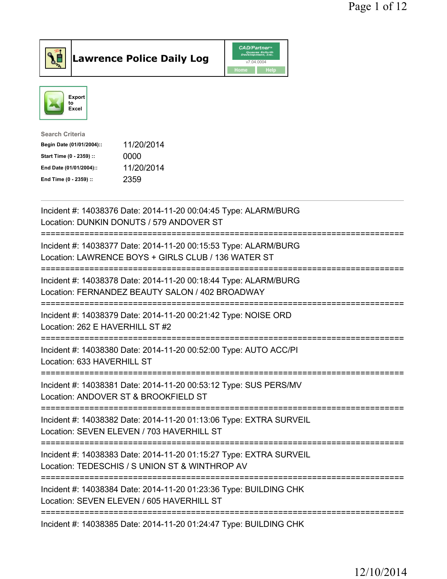



| <b>Search Criteria</b>    |            |
|---------------------------|------------|
| Begin Date (01/01/2004):: | 11/20/2014 |
| Start Time (0 - 2359) ::  | 0000       |
| End Date (01/01/2004)::   | 11/20/2014 |
| End Time (0 - 2359) ::    | 2359       |
|                           |            |

| Incident #: 14038376 Date: 2014-11-20 00:04:45 Type: ALARM/BURG<br>Location: DUNKIN DONUTS / 579 ANDOVER ST                                                    |
|----------------------------------------------------------------------------------------------------------------------------------------------------------------|
| Incident #: 14038377 Date: 2014-11-20 00:15:53 Type: ALARM/BURG<br>Location: LAWRENCE BOYS + GIRLS CLUB / 136 WATER ST                                         |
| Incident #: 14038378 Date: 2014-11-20 00:18:44 Type: ALARM/BURG<br>Location: FERNANDEZ BEAUTY SALON / 402 BROADWAY                                             |
| Incident #: 14038379 Date: 2014-11-20 00:21:42 Type: NOISE ORD<br>Location: 262 E HAVERHILL ST #2<br>=========                                                 |
| Incident #: 14038380 Date: 2014-11-20 00:52:00 Type: AUTO ACC/PI<br>Location: 633 HAVERHILL ST                                                                 |
| Incident #: 14038381 Date: 2014-11-20 00:53:12 Type: SUS PERS/MV<br>Location: ANDOVER ST & BROOKFIELD ST<br>====================================               |
| Incident #: 14038382 Date: 2014-11-20 01:13:06 Type: EXTRA SURVEIL<br>Location: SEVEN ELEVEN / 703 HAVERHILL ST<br>============================                |
| Incident #: 14038383 Date: 2014-11-20 01:15:27 Type: EXTRA SURVEIL<br>Location: TEDESCHIS / S UNION ST & WINTHROP AV<br>-------------------------------------- |
| Incident #: 14038384 Date: 2014-11-20 01:23:36 Type: BUILDING CHK<br>Location: SEVEN ELEVEN / 605 HAVERHILL ST<br>---------------------------------            |
| Incident #: 14038385 Date: 2014-11-20 01:24:47 Type: BUILDING CHK                                                                                              |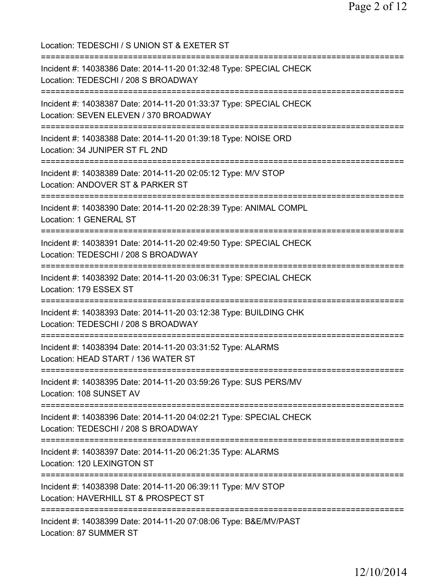Location: TEDESCHI / S UNION ST & EXETER ST =========================================================================== Incident #: 14038386 Date: 2014-11-20 01:32:48 Type: SPECIAL CHECK Location: TEDESCHI / 208 S BROADWAY =========================================================================== Incident #: 14038387 Date: 2014-11-20 01:33:37 Type: SPECIAL CHECK Location: SEVEN ELEVEN / 370 BROADWAY =========================================================================== Incident #: 14038388 Date: 2014-11-20 01:39:18 Type: NOISE ORD Location: 34 JUNIPER ST FL 2ND =========================================================================== Incident #: 14038389 Date: 2014-11-20 02:05:12 Type: M/V STOP Location: ANDOVER ST & PARKER ST =========================================================================== Incident #: 14038390 Date: 2014-11-20 02:28:39 Type: ANIMAL COMPL Location: 1 GENERAL ST =========================================================================== Incident #: 14038391 Date: 2014-11-20 02:49:50 Type: SPECIAL CHECK Location: TEDESCHI / 208 S BROADWAY =========================================================================== Incident #: 14038392 Date: 2014-11-20 03:06:31 Type: SPECIAL CHECK Location: 179 ESSEX ST =========================================================================== Incident #: 14038393 Date: 2014-11-20 03:12:38 Type: BUILDING CHK Location: TEDESCHI / 208 S BROADWAY =========================================================================== Incident #: 14038394 Date: 2014-11-20 03:31:52 Type: ALARMS Location: HEAD START / 136 WATER ST =========================================================================== Incident #: 14038395 Date: 2014-11-20 03:59:26 Type: SUS PERS/MV Location: 108 SUNSET AV =========================================================================== Incident #: 14038396 Date: 2014-11-20 04:02:21 Type: SPECIAL CHECK Location: TEDESCHI / 208 S BROADWAY =========================================================================== Incident #: 14038397 Date: 2014-11-20 06:21:35 Type: ALARMS Location: 120 LEXINGTON ST =========================================================================== Incident #: 14038398 Date: 2014-11-20 06:39:11 Type: M/V STOP Location: HAVERHILL ST & PROSPECT ST =========================================================================== Incident #: 14038399 Date: 2014-11-20 07:08:06 Type: B&E/MV/PAST Location: 87 SUMMER ST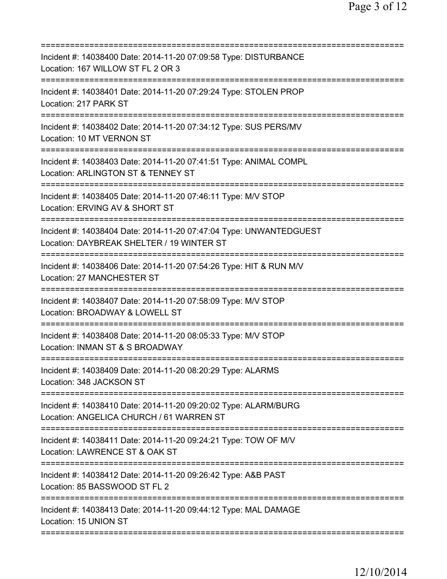| Incident #: 14038400 Date: 2014-11-20 07:09:58 Type: DISTURBANCE<br>Location: 167 WILLOW ST FL 2 OR 3                                                 |
|-------------------------------------------------------------------------------------------------------------------------------------------------------|
| Incident #: 14038401 Date: 2014-11-20 07:29:24 Type: STOLEN PROP<br>Location: 217 PARK ST                                                             |
| Incident #: 14038402 Date: 2014-11-20 07:34:12 Type: SUS PERS/MV<br>Location: 10 MT VERNON ST                                                         |
| Incident #: 14038403 Date: 2014-11-20 07:41:51 Type: ANIMAL COMPL<br>Location: ARLINGTON ST & TENNEY ST                                               |
| Incident #: 14038405 Date: 2014-11-20 07:46:11 Type: M/V STOP<br>Location: ERVING AV & SHORT ST                                                       |
| Incident #: 14038404 Date: 2014-11-20 07:47:04 Type: UNWANTEDGUEST<br>Location: DAYBREAK SHELTER / 19 WINTER ST<br>=============================      |
| Incident #: 14038406 Date: 2014-11-20 07:54:26 Type: HIT & RUN M/V<br>Location: 27 MANCHESTER ST<br>=================================                 |
| Incident #: 14038407 Date: 2014-11-20 07:58:09 Type: M/V STOP<br>Location: BROADWAY & LOWELL ST                                                       |
| Incident #: 14038408 Date: 2014-11-20 08:05:33 Type: M/V STOP<br>Location: INMAN ST & S BROADWAY                                                      |
| Incident #: 14038409 Date: 2014-11-20 08:20:29 Type: ALARMS<br>Location: 348 JACKSON ST                                                               |
| Incident #: 14038410 Date: 2014-11-20 09:20:02 Type: ALARM/BURG<br>Location: ANGELICA CHURCH / 61 WARREN ST<br>====================================== |
| Incident #: 14038411 Date: 2014-11-20 09:24:21 Type: TOW OF M/V<br>Location: LAWRENCE ST & OAK ST                                                     |
| Incident #: 14038412 Date: 2014-11-20 09:26:42 Type: A&B PAST<br>Location: 85 BASSWOOD ST FL 2                                                        |
| Incident #: 14038413 Date: 2014-11-20 09:44:12 Type: MAL DAMAGE<br>Location: 15 UNION ST                                                              |
|                                                                                                                                                       |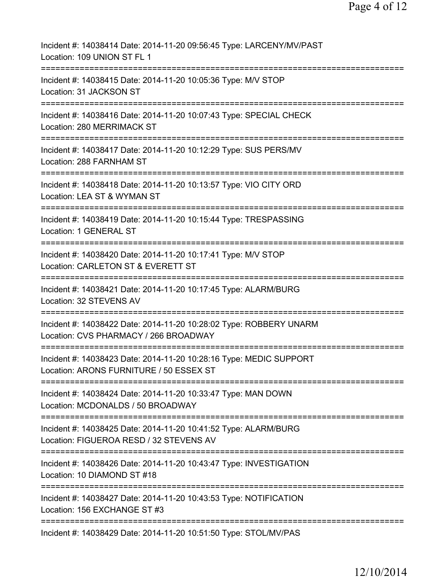| Incident #: 14038414 Date: 2014-11-20 09:56:45 Type: LARCENY/MV/PAST<br>Location: 109 UNION ST FL 1                                      |
|------------------------------------------------------------------------------------------------------------------------------------------|
| Incident #: 14038415 Date: 2014-11-20 10:05:36 Type: M/V STOP<br>Location: 31 JACKSON ST                                                 |
| Incident #: 14038416 Date: 2014-11-20 10:07:43 Type: SPECIAL CHECK<br>Location: 280 MERRIMACK ST                                         |
| Incident #: 14038417 Date: 2014-11-20 10:12:29 Type: SUS PERS/MV<br>Location: 288 FARNHAM ST                                             |
| ==============================<br>Incident #: 14038418 Date: 2014-11-20 10:13:57 Type: VIO CITY ORD<br>Location: LEA ST & WYMAN ST       |
| Incident #: 14038419 Date: 2014-11-20 10:15:44 Type: TRESPASSING<br>Location: 1 GENERAL ST                                               |
| Incident #: 14038420 Date: 2014-11-20 10:17:41 Type: M/V STOP<br>Location: CARLETON ST & EVERETT ST                                      |
| Incident #: 14038421 Date: 2014-11-20 10:17:45 Type: ALARM/BURG<br>Location: 32 STEVENS AV                                               |
| Incident #: 14038422 Date: 2014-11-20 10:28:02 Type: ROBBERY UNARM<br>Location: CVS PHARMACY / 266 BROADWAY                              |
| Incident #: 14038423 Date: 2014-11-20 10:28:16 Type: MEDIC SUPPORT<br>Location: ARONS FURNITURE / 50 ESSEX ST                            |
| Incident #: 14038424 Date: 2014-11-20 10:33:47 Type: MAN DOWN<br>Location: MCDONALDS / 50 BROADWAY                                       |
| Incident #: 14038425 Date: 2014-11-20 10:41:52 Type: ALARM/BURG<br>Location: FIGUEROA RESD / 32 STEVENS AV                               |
| ===================================<br>Incident #: 14038426 Date: 2014-11-20 10:43:47 Type: INVESTIGATION<br>Location: 10 DIAMOND ST #18 |
| Incident #: 14038427 Date: 2014-11-20 10:43:53 Type: NOTIFICATION<br>Location: 156 EXCHANGE ST #3                                        |
| Incident #: 14038429 Date: 2014-11-20 10:51:50 Type: STOL/MV/PAS                                                                         |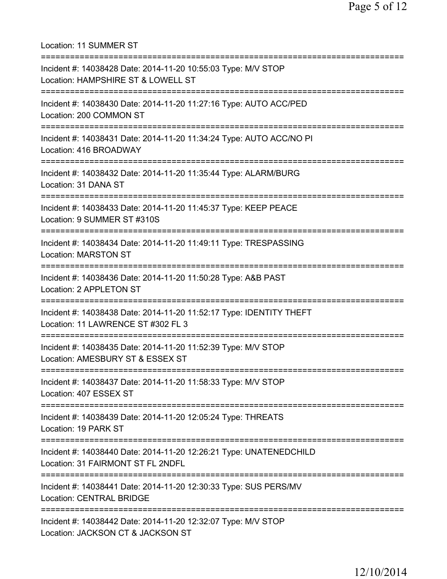Location: 11 SUMMER ST =========================================================================== Incident #: 14038428 Date: 2014-11-20 10:55:03 Type: M/V STOP Location: HAMPSHIRE ST & LOWELL ST =========================================================================== Incident #: 14038430 Date: 2014-11-20 11:27:16 Type: AUTO ACC/PED Location: 200 COMMON ST =========================================================================== Incident #: 14038431 Date: 2014-11-20 11:34:24 Type: AUTO ACC/NO PI Location: 416 BROADWAY =========================================================================== Incident #: 14038432 Date: 2014-11-20 11:35:44 Type: ALARM/BURG Location: 31 DANA ST =========================================================================== Incident #: 14038433 Date: 2014-11-20 11:45:37 Type: KEEP PEACE Location: 9 SUMMER ST #310S =========================================================================== Incident #: 14038434 Date: 2014-11-20 11:49:11 Type: TRESPASSING Location: MARSTON ST =========================================================================== Incident #: 14038436 Date: 2014-11-20 11:50:28 Type: A&B PAST Location: 2 APPLETON ST =========================================================================== Incident #: 14038438 Date: 2014-11-20 11:52:17 Type: IDENTITY THEFT Location: 11 LAWRENCE ST #302 FL 3 =========================================================================== Incident #: 14038435 Date: 2014-11-20 11:52:39 Type: M/V STOP Location: AMESBURY ST & ESSEX ST =========================================================================== Incident #: 14038437 Date: 2014-11-20 11:58:33 Type: M/V STOP Location: 407 ESSEX ST =========================================================================== Incident #: 14038439 Date: 2014-11-20 12:05:24 Type: THREATS Location: 19 PARK ST =========================================================================== Incident #: 14038440 Date: 2014-11-20 12:26:21 Type: UNATENEDCHILD Location: 31 FAIRMONT ST FL 2NDFL =========================================================================== Incident #: 14038441 Date: 2014-11-20 12:30:33 Type: SUS PERS/MV Location: CENTRAL BRIDGE =========================================================================== Incident #: 14038442 Date: 2014-11-20 12:32:07 Type: M/V STOP Location: JACKSON CT & JACKSON ST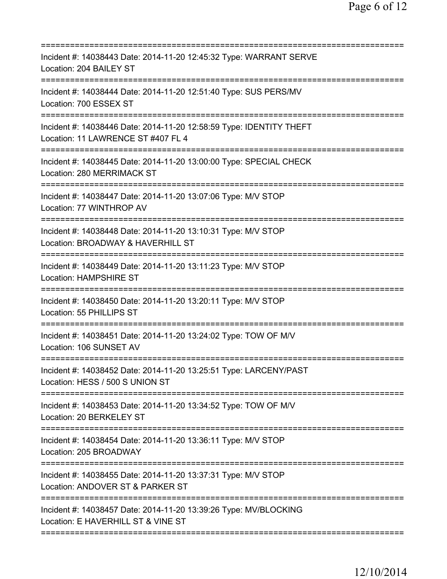| Incident #: 14038443 Date: 2014-11-20 12:45:32 Type: WARRANT SERVE<br>Location: 204 BAILEY ST                                              |
|--------------------------------------------------------------------------------------------------------------------------------------------|
| Incident #: 14038444 Date: 2014-11-20 12:51:40 Type: SUS PERS/MV<br>Location: 700 ESSEX ST                                                 |
| Incident #: 14038446 Date: 2014-11-20 12:58:59 Type: IDENTITY THEFT<br>Location: 11 LAWRENCE ST #407 FL 4<br>========================      |
| Incident #: 14038445 Date: 2014-11-20 13:00:00 Type: SPECIAL CHECK<br>Location: 280 MERRIMACK ST                                           |
| Incident #: 14038447 Date: 2014-11-20 13:07:06 Type: M/V STOP<br>Location: 77 WINTHROP AV                                                  |
| ====================================<br>Incident #: 14038448 Date: 2014-11-20 13:10:31 Type: M/V STOP<br>Location: BROADWAY & HAVERHILL ST |
| Incident #: 14038449 Date: 2014-11-20 13:11:23 Type: M/V STOP<br><b>Location: HAMPSHIRE ST</b>                                             |
| Incident #: 14038450 Date: 2014-11-20 13:20:11 Type: M/V STOP<br>Location: 55 PHILLIPS ST                                                  |
| Incident #: 14038451 Date: 2014-11-20 13:24:02 Type: TOW OF M/V<br>Location: 106 SUNSET AV                                                 |
| Incident #: 14038452 Date: 2014-11-20 13:25:51 Type: LARCENY/PAST<br>Location: HESS / 500 S UNION ST                                       |
| Incident #: 14038453 Date: 2014-11-20 13:34:52 Type: TOW OF M/V<br>Location: 20 BERKELEY ST                                                |
| Incident #: 14038454 Date: 2014-11-20 13:36:11 Type: M/V STOP<br>Location: 205 BROADWAY                                                    |
| Incident #: 14038455 Date: 2014-11-20 13:37:31 Type: M/V STOP<br>Location: ANDOVER ST & PARKER ST                                          |
| Incident #: 14038457 Date: 2014-11-20 13:39:26 Type: MV/BLOCKING<br>Location: E HAVERHILL ST & VINE ST                                     |
|                                                                                                                                            |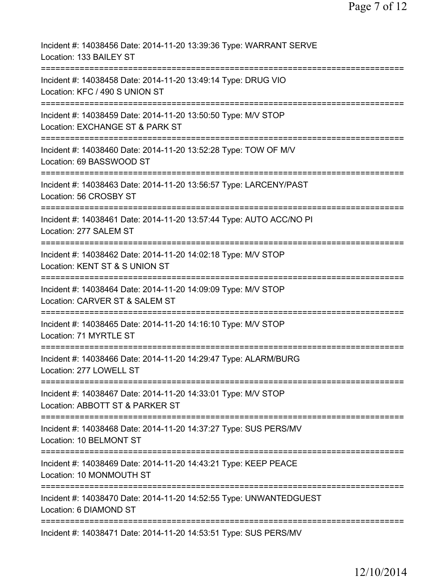| Incident #: 14038456 Date: 2014-11-20 13:39:36 Type: WARRANT SERVE<br>Location: 133 BAILEY ST                                                                  |
|----------------------------------------------------------------------------------------------------------------------------------------------------------------|
| Incident #: 14038458 Date: 2014-11-20 13:49:14 Type: DRUG VIO<br>Location: KFC / 490 S UNION ST                                                                |
| Incident #: 14038459 Date: 2014-11-20 13:50:50 Type: M/V STOP<br>Location: EXCHANGE ST & PARK ST                                                               |
| Incident #: 14038460 Date: 2014-11-20 13:52:28 Type: TOW OF M/V<br>Location: 69 BASSWOOD ST                                                                    |
| Incident #: 14038463 Date: 2014-11-20 13:56:57 Type: LARCENY/PAST<br>Location: 56 CROSBY ST                                                                    |
| Incident #: 14038461 Date: 2014-11-20 13:57:44 Type: AUTO ACC/NO PI<br>Location: 277 SALEM ST                                                                  |
| Incident #: 14038462 Date: 2014-11-20 14:02:18 Type: M/V STOP<br>Location: KENT ST & S UNION ST<br>----------                                                  |
| Incident #: 14038464 Date: 2014-11-20 14:09:09 Type: M/V STOP<br>Location: CARVER ST & SALEM ST                                                                |
| Incident #: 14038465 Date: 2014-11-20 14:16:10 Type: M/V STOP<br>Location: 71 MYRTLE ST                                                                        |
| Incident #: 14038466 Date: 2014-11-20 14:29:47 Type: ALARM/BURG<br>Location: 277 LOWELL ST                                                                     |
| =============================<br>=========================<br>Incident #: 14038467 Date: 2014-11-20 14:33:01 Type: M/V STOP<br>Location: ABBOTT ST & PARKER ST |
| =============================<br>-----------------<br>Incident #: 14038468 Date: 2014-11-20 14:37:27 Type: SUS PERS/MV<br>Location: 10 BELMONT ST              |
| Incident #: 14038469 Date: 2014-11-20 14:43:21 Type: KEEP PEACE<br>Location: 10 MONMOUTH ST                                                                    |
| Incident #: 14038470 Date: 2014-11-20 14:52:55 Type: UNWANTEDGUEST<br>Location: 6 DIAMOND ST                                                                   |
| Incident #: 14038471 Date: 2014-11-20 14:53:51 Type: SUS PERS/MV                                                                                               |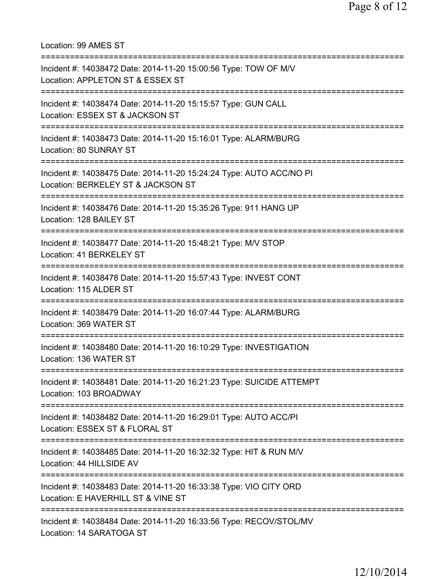Location: 99 AMES ST =========================================================================== Incident #: 14038472 Date: 2014-11-20 15:00:56 Type: TOW OF M/V Location: APPLETON ST & ESSEX ST =========================================================================== Incident #: 14038474 Date: 2014-11-20 15:15:57 Type: GUN CALL Location: ESSEX ST & JACKSON ST =========================================================================== Incident #: 14038473 Date: 2014-11-20 15:16:01 Type: ALARM/BURG Location: 80 SUNRAY ST =========================================================================== Incident #: 14038475 Date: 2014-11-20 15:24:24 Type: AUTO ACC/NO PI Location: BERKELEY ST & JACKSON ST =========================================================================== Incident #: 14038476 Date: 2014-11-20 15:35:26 Type: 911 HANG UP Location: 128 BAILEY ST =========================================================================== Incident #: 14038477 Date: 2014-11-20 15:48:21 Type: M/V STOP Location: 41 BERKELEY ST =========================================================================== Incident #: 14038478 Date: 2014-11-20 15:57:43 Type: INVEST CONT Location: 115 ALDER ST =========================================================================== Incident #: 14038479 Date: 2014-11-20 16:07:44 Type: ALARM/BURG Location: 369 WATER ST =========================================================================== Incident #: 14038480 Date: 2014-11-20 16:10:29 Type: INVESTIGATION Location: 136 WATER ST =========================================================================== Incident #: 14038481 Date: 2014-11-20 16:21:23 Type: SUICIDE ATTEMPT Location: 103 BROADWAY =========================================================================== Incident #: 14038482 Date: 2014-11-20 16:29:01 Type: AUTO ACC/PI Location: ESSEX ST & FLORAL ST =========================================================================== Incident #: 14038485 Date: 2014-11-20 16:32:32 Type: HIT & RUN M/V Location: 44 HILLSIDE AV =========================================================================== Incident #: 14038483 Date: 2014-11-20 16:33:38 Type: VIO CITY ORD Location: E HAVERHILL ST & VINE ST =========================================================================== Incident #: 14038484 Date: 2014-11-20 16:33:56 Type: RECOV/STOL/MV Location: 14 SARATOGA ST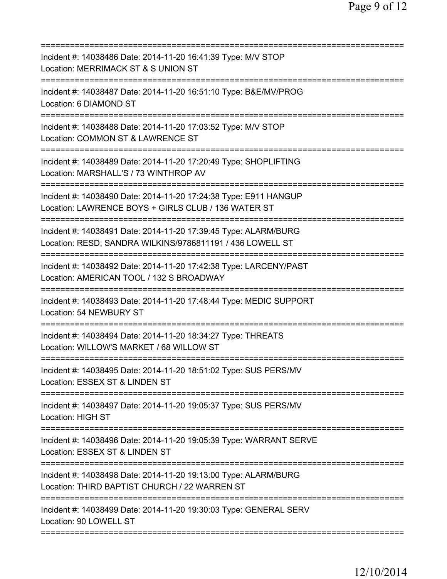| Incident #: 14038486 Date: 2014-11-20 16:41:39 Type: M/V STOP<br>Location: MERRIMACK ST & S UNION ST                         |
|------------------------------------------------------------------------------------------------------------------------------|
| Incident #: 14038487 Date: 2014-11-20 16:51:10 Type: B&E/MV/PROG<br>Location: 6 DIAMOND ST                                   |
| Incident #: 14038488 Date: 2014-11-20 17:03:52 Type: M/V STOP<br>Location: COMMON ST & LAWRENCE ST                           |
| Incident #: 14038489 Date: 2014-11-20 17:20:49 Type: SHOPLIFTING<br>Location: MARSHALL'S / 73 WINTHROP AV                    |
| Incident #: 14038490 Date: 2014-11-20 17:24:38 Type: E911 HANGUP<br>Location: LAWRENCE BOYS + GIRLS CLUB / 136 WATER ST      |
| Incident #: 14038491 Date: 2014-11-20 17:39:45 Type: ALARM/BURG<br>Location: RESD; SANDRA WILKINS/9786811191 / 436 LOWELL ST |
| Incident #: 14038492 Date: 2014-11-20 17:42:38 Type: LARCENY/PAST<br>Location: AMERICAN TOOL / 132 S BROADWAY                |
| Incident #: 14038493 Date: 2014-11-20 17:48:44 Type: MEDIC SUPPORT<br>Location: 54 NEWBURY ST<br>=================           |
| Incident #: 14038494 Date: 2014-11-20 18:34:27 Type: THREATS<br>Location: WILLOW'S MARKET / 68 WILLOW ST                     |
| Incident #: 14038495 Date: 2014-11-20 18:51:02 Type: SUS PERS/MV<br>Location: ESSEX ST & LINDEN ST                           |
| Incident #: 14038497 Date: 2014-11-20 19:05:37 Type: SUS PERS/MV<br><b>Location: HIGH ST</b>                                 |
| Incident #: 14038496 Date: 2014-11-20 19:05:39 Type: WARRANT SERVE<br>Location: ESSEX ST & LINDEN ST                         |
| Incident #: 14038498 Date: 2014-11-20 19:13:00 Type: ALARM/BURG<br>Location: THIRD BAPTIST CHURCH / 22 WARREN ST             |
| Incident #: 14038499 Date: 2014-11-20 19:30:03 Type: GENERAL SERV<br>Location: 90 LOWELL ST                                  |
|                                                                                                                              |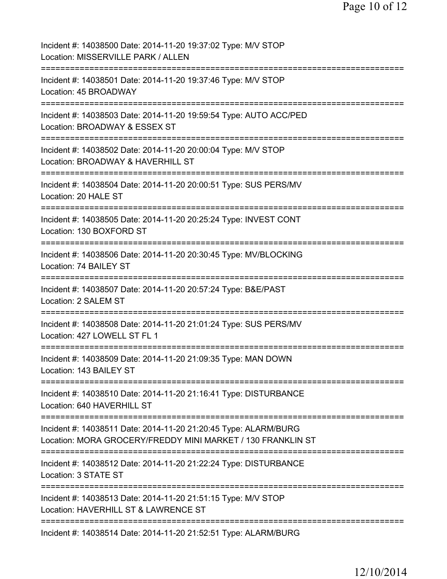| Incident #: 14038500 Date: 2014-11-20 19:37:02 Type: M/V STOP<br>Location: MISSERVILLE PARK / ALLEN                                                              |
|------------------------------------------------------------------------------------------------------------------------------------------------------------------|
| Incident #: 14038501 Date: 2014-11-20 19:37:46 Type: M/V STOP<br>Location: 45 BROADWAY                                                                           |
| Incident #: 14038503 Date: 2014-11-20 19:59:54 Type: AUTO ACC/PED<br>Location: BROADWAY & ESSEX ST                                                               |
| Incident #: 14038502 Date: 2014-11-20 20:00:04 Type: M/V STOP<br>Location: BROADWAY & HAVERHILL ST                                                               |
| Incident #: 14038504 Date: 2014-11-20 20:00:51 Type: SUS PERS/MV<br>Location: 20 HALE ST                                                                         |
| Incident #: 14038505 Date: 2014-11-20 20:25:24 Type: INVEST CONT<br>Location: 130 BOXFORD ST                                                                     |
| Incident #: 14038506 Date: 2014-11-20 20:30:45 Type: MV/BLOCKING<br>Location: 74 BAILEY ST                                                                       |
| Incident #: 14038507 Date: 2014-11-20 20:57:24 Type: B&E/PAST<br>Location: 2 SALEM ST                                                                            |
| Incident #: 14038508 Date: 2014-11-20 21:01:24 Type: SUS PERS/MV<br>Location: 427 LOWELL ST FL 1                                                                 |
| Incident #: 14038509 Date: 2014-11-20 21:09:35 Type: MAN DOWN<br>Location: 143 BAILEY ST                                                                         |
| ============================<br>:=============================<br>Incident #: 14038510 Date: 2014-11-20 21:16:41 Type: DISTURBANCE<br>Location: 640 HAVERHILL ST |
| Incident #: 14038511 Date: 2014-11-20 21:20:45 Type: ALARM/BURG<br>Location: MORA GROCERY/FREDDY MINI MARKET / 130 FRANKLIN ST                                   |
| Incident #: 14038512 Date: 2014-11-20 21:22:24 Type: DISTURBANCE<br>Location: 3 STATE ST                                                                         |
| Incident #: 14038513 Date: 2014-11-20 21:51:15 Type: M/V STOP<br>Location: HAVERHILL ST & LAWRENCE ST<br>====================                                    |
| Incident #: 14038514 Date: 2014-11-20 21:52:51 Type: ALARM/BURG                                                                                                  |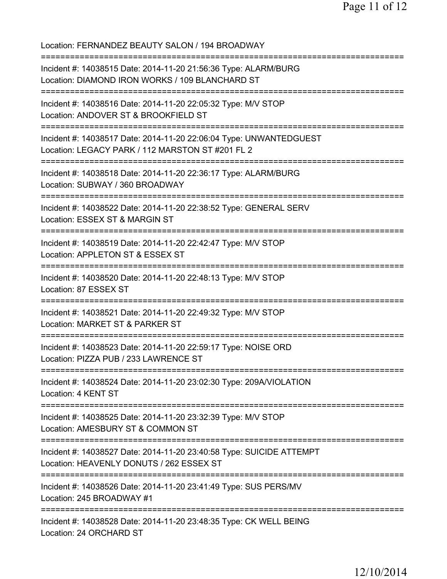| Location: FERNANDEZ BEAUTY SALON / 194 BROADWAY                                                                                                                                  |
|----------------------------------------------------------------------------------------------------------------------------------------------------------------------------------|
| Incident #: 14038515 Date: 2014-11-20 21:56:36 Type: ALARM/BURG<br>Location: DIAMOND IRON WORKS / 109 BLANCHARD ST                                                               |
| Incident #: 14038516 Date: 2014-11-20 22:05:32 Type: M/V STOP<br>Location: ANDOVER ST & BROOKFIELD ST<br>==========================                                              |
| Incident #: 14038517 Date: 2014-11-20 22:06:04 Type: UNWANTEDGUEST<br>Location: LEGACY PARK / 112 MARSTON ST #201 FL 2<br>====================================                   |
| Incident #: 14038518 Date: 2014-11-20 22:36:17 Type: ALARM/BURG<br>Location: SUBWAY / 360 BROADWAY                                                                               |
| ======================================<br>Incident #: 14038522 Date: 2014-11-20 22:38:52 Type: GENERAL SERV<br>Location: ESSEX ST & MARGIN ST<br>=============================== |
| Incident #: 14038519 Date: 2014-11-20 22:42:47 Type: M/V STOP<br>Location: APPLETON ST & ESSEX ST<br>:===================================                                        |
| Incident #: 14038520 Date: 2014-11-20 22:48:13 Type: M/V STOP<br>Location: 87 ESSEX ST                                                                                           |
| Incident #: 14038521 Date: 2014-11-20 22:49:32 Type: M/V STOP<br>Location: MARKET ST & PARKER ST                                                                                 |
| Incident #: 14038523 Date: 2014-11-20 22:59:17 Type: NOISE ORD<br>Location: PIZZA PUB / 233 LAWRENCE ST                                                                          |
| Incident #: 14038524 Date: 2014-11-20 23:02:30 Type: 209A/VIOLATION<br>Location: 4 KENT ST                                                                                       |
| Incident #: 14038525 Date: 2014-11-20 23:32:39 Type: M/V STOP<br>Location: AMESBURY ST & COMMON ST                                                                               |
| Incident #: 14038527 Date: 2014-11-20 23:40:58 Type: SUICIDE ATTEMPT<br>Location: HEAVENLY DONUTS / 262 ESSEX ST                                                                 |
| Incident #: 14038526 Date: 2014-11-20 23:41:49 Type: SUS PERS/MV<br>Location: 245 BROADWAY #1                                                                                    |
| Incident #: 14038528 Date: 2014-11-20 23:48:35 Type: CK WELL BEING<br>Location: 24 ORCHARD ST                                                                                    |